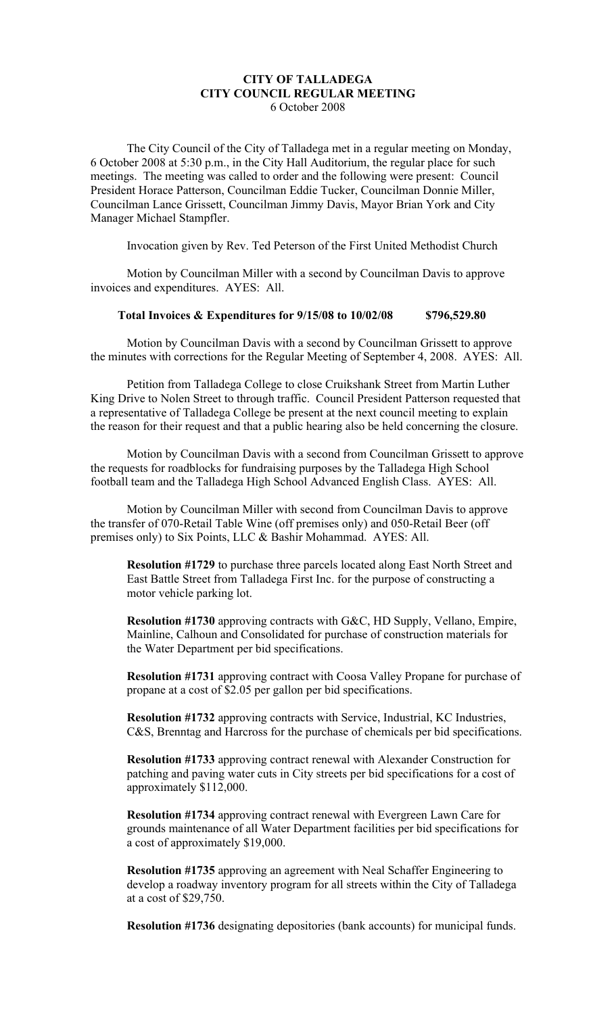## **CITY OF TALLADEGA CITY COUNCIL REGULAR MEETING** 6 October 2008

The City Council of the City of Talladega met in a regular meeting on Monday, 6 October 2008 at 5:30 p.m., in the City Hall Auditorium, the regular place for such meetings. The meeting was called to order and the following were present: Council President Horace Patterson, Councilman Eddie Tucker, Councilman Donnie Miller, Councilman Lance Grissett, Councilman Jimmy Davis, Mayor Brian York and City Manager Michael Stampfler.

Invocation given by Rev. Ted Peterson of the First United Methodist Church

Motion by Councilman Miller with a second by Councilman Davis to approve invoices and expenditures. AYES: All.

#### **Total Invoices & Expenditures for 9/15/08 to 10/02/08 \$796,529.80**

Motion by Councilman Davis with a second by Councilman Grissett to approve the minutes with corrections for the Regular Meeting of September 4, 2008. AYES: All.

Petition from Talladega College to close Cruikshank Street from Martin Luther King Drive to Nolen Street to through traffic. Council President Patterson requested that a representative of Talladega College be present at the next council meeting to explain the reason for their request and that a public hearing also be held concerning the closure.

Motion by Councilman Davis with a second from Councilman Grissett to approve the requests for roadblocks for fundraising purposes by the Talladega High School football team and the Talladega High School Advanced English Class. AYES: All.

Motion by Councilman Miller with second from Councilman Davis to approve the transfer of 070-Retail Table Wine (off premises only) and 050-Retail Beer (off premises only) to Six Points, LLC & Bashir Mohammad. AYES: All.

**Resolution #1729** to purchase three parcels located along East North Street and East Battle Street from Talladega First Inc. for the purpose of constructing a motor vehicle parking lot.

**Resolution #1730** approving contracts with G&C, HD Supply, Vellano, Empire, Mainline, Calhoun and Consolidated for purchase of construction materials for the Water Department per bid specifications.

**Resolution #1731** approving contract with Coosa Valley Propane for purchase of propane at a cost of \$2.05 per gallon per bid specifications.

**Resolution #1732** approving contracts with Service, Industrial, KC Industries, C&S, Brenntag and Harcross for the purchase of chemicals per bid specifications.

**Resolution #1733** approving contract renewal with Alexander Construction for patching and paving water cuts in City streets per bid specifications for a cost of approximately \$112,000.

**Resolution #1734** approving contract renewal with Evergreen Lawn Care for grounds maintenance of all Water Department facilities per bid specifications for a cost of approximately \$19,000.

**Resolution #1735** approving an agreement with Neal Schaffer Engineering to develop a roadway inventory program for all streets within the City of Talladega at a cost of \$29,750.

**Resolution #1736** designating depositories (bank accounts) for municipal funds.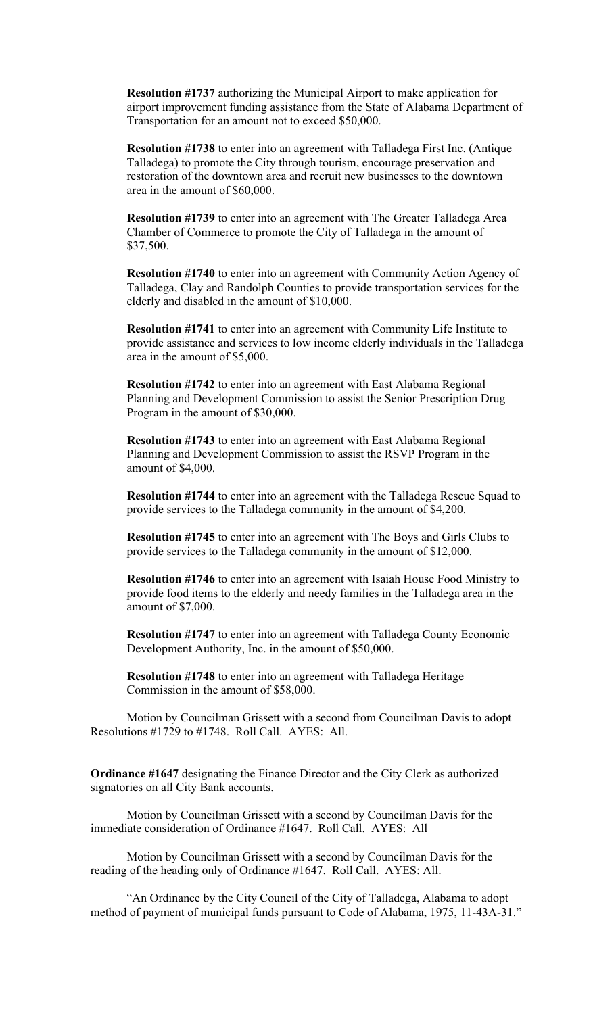**Resolution #1737** authorizing the Municipal Airport to make application for airport improvement funding assistance from the State of Alabama Department of Transportation for an amount not to exceed \$50,000.

**Resolution #1738** to enter into an agreement with Talladega First Inc. (Antique Talladega) to promote the City through tourism, encourage preservation and restoration of the downtown area and recruit new businesses to the downtown area in the amount of \$60,000.

**Resolution #1739** to enter into an agreement with The Greater Talladega Area Chamber of Commerce to promote the City of Talladega in the amount of \$37,500.

**Resolution #1740** to enter into an agreement with Community Action Agency of Talladega, Clay and Randolph Counties to provide transportation services for the elderly and disabled in the amount of \$10,000.

**Resolution #1741** to enter into an agreement with Community Life Institute to provide assistance and services to low income elderly individuals in the Talladega area in the amount of \$5,000.

**Resolution #1742** to enter into an agreement with East Alabama Regional Planning and Development Commission to assist the Senior Prescription Drug Program in the amount of \$30,000.

**Resolution #1743** to enter into an agreement with East Alabama Regional Planning and Development Commission to assist the RSVP Program in the amount of \$4,000.

**Resolution #1744** to enter into an agreement with the Talladega Rescue Squad to provide services to the Talladega community in the amount of \$4,200.

**Resolution #1745** to enter into an agreement with The Boys and Girls Clubs to provide services to the Talladega community in the amount of \$12,000.

**Resolution #1746** to enter into an agreement with Isaiah House Food Ministry to provide food items to the elderly and needy families in the Talladega area in the amount of \$7,000.

**Resolution #1747** to enter into an agreement with Talladega County Economic Development Authority, Inc. in the amount of \$50,000.

**Resolution #1748** to enter into an agreement with Talladega Heritage Commission in the amount of \$58,000.

Motion by Councilman Grissett with a second from Councilman Davis to adopt Resolutions #1729 to #1748. Roll Call. AYES: All.

**Ordinance #1647** designating the Finance Director and the City Clerk as authorized signatories on all City Bank accounts.

Motion by Councilman Grissett with a second by Councilman Davis for the immediate consideration of Ordinance #1647. Roll Call. AYES: All

Motion by Councilman Grissett with a second by Councilman Davis for the reading of the heading only of Ordinance #1647. Roll Call. AYES: All.

"An Ordinance by the City Council of the City of Talladega, Alabama to adopt method of payment of municipal funds pursuant to Code of Alabama, 1975, 11-43A-31."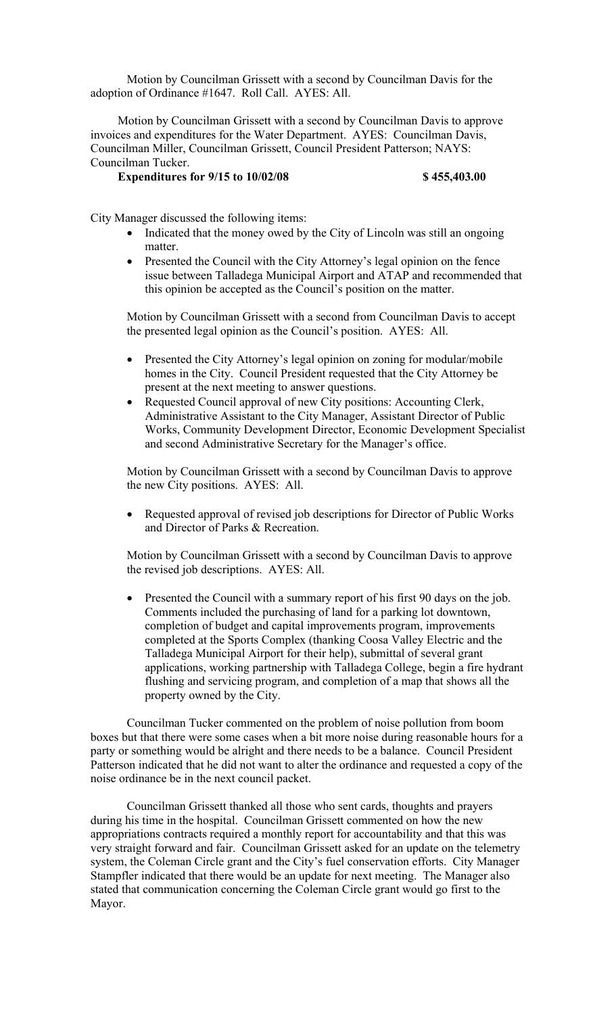Motion by Councilman Grissett with a second by Councilman Davis for the adoption of Ordinance #1647. Roll Call. AYES: All.

Motion by Councilman Grissett with a second by Councilman Davis to approve invoices and expenditures for the Water Department. AYES: Councilman Davis, Councilman Miller, Councilman Grissett, Council President Patterson; NAYS: Councilman Tucker.

### **Expenditures for 9/15 to 10/02/08** \$ 455,403.00

City Manager discussed the following items:

- Indicated that the money owed by the City of Lincoln was still an ongoing matter.
- Presented the Council with the City Attorney's legal opinion on the fence issue between Talladega Municipal Airport and ATAP and recommended that this opinion be accepted as the Council's position on the matter.

Motion by Councilman Grissett with a second from Councilman Davis to accept the presented legal opinion as the Council's position. AYES: All.

- Presented the City Attorney's legal opinion on zoning for modular/mobile homes in the City. Council President requested that the City Attorney be present at the next meeting to answer questions.
- Requested Council approval of new City positions: Accounting Clerk, Administrative Assistant to the City Manager, Assistant Director of Public Works, Community Development Director, Economic Development Specialist and second Administrative Secretary for the Manager's office.

Motion by Councilman Grissett with a second by Councilman Davis to approve the new City positions. AYES: All.

 Requested approval of revised job descriptions for Director of Public Works and Director of Parks & Recreation.

Motion by Councilman Grissett with a second by Councilman Davis to approve the revised job descriptions. AYES: All.

 Presented the Council with a summary report of his first 90 days on the job. Comments included the purchasing of land for a parking lot downtown, completion of budget and capital improvements program, improvements completed at the Sports Complex (thanking Coosa Valley Electric and the Talladega Municipal Airport for their help), submittal of several grant applications, working partnership with Talladega College, begin a fire hydrant flushing and servicing program, and completion of a map that shows all the property owned by the City.

Councilman Tucker commented on the problem of noise pollution from boom boxes but that there were some cases when a bit more noise during reasonable hours for a party or something would be alright and there needs to be a balance. Council President Patterson indicated that he did not want to alter the ordinance and requested a copy of the noise ordinance be in the next council packet.

Councilman Grissett thanked all those who sent cards, thoughts and prayers during his time in the hospital. Councilman Grissett commented on how the new appropriations contracts required a monthly report for accountability and that this was very straight forward and fair. Councilman Grissett asked for an update on the telemetry system, the Coleman Circle grant and the City's fuel conservation efforts. City Manager Stampfler indicated that there would be an update for next meeting. The Manager also stated that communication concerning the Coleman Circle grant would go first to the Mayor.